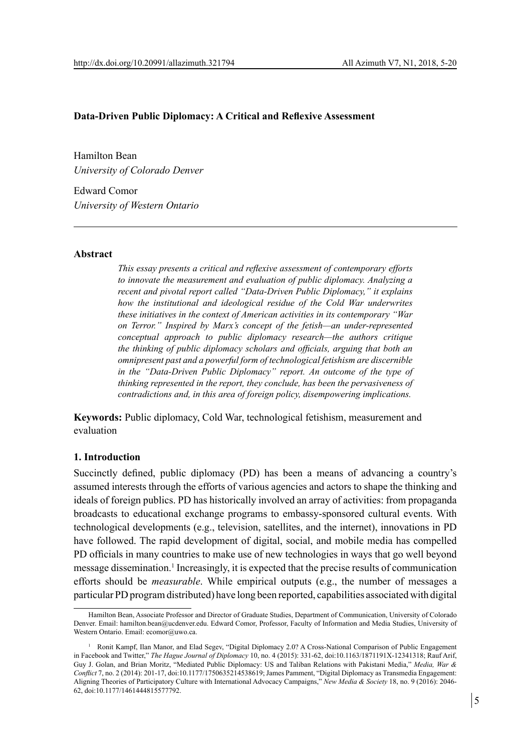## **Data-Driven Public Diplomacy: A Critical and Reflexive Assessment**

Hamilton Bean *University of Colorado Denver*

Edward Comor *University of Western Ontario*

#### **Abstract**

*This essay presents a critical and reflexive assessment of contemporary efforts to innovate the measurement and evaluation of public diplomacy. Analyzing a recent and pivotal report called "Data-Driven Public Diplomacy," it explains how the institutional and ideological residue of the Cold War underwrites these initiatives in the context of American activities in its contemporary "War on Terror." Inspired by Marx's concept of the fetish—an under-represented conceptual approach to public diplomacy research—the authors critique the thinking of public diplomacy scholars and officials, arguing that both an omnipresent past and a powerful form of technological fetishism are discernible in the "Data-Driven Public Diplomacy" report. An outcome of the type of thinking represented in the report, they conclude, has been the pervasiveness of contradictions and, in this area of foreign policy, disempowering implications.*

**Keywords:** Public diplomacy, Cold War, technological fetishism, measurement and evaluation

### **1. Introduction**

Succinctly defined, public diplomacy (PD) has been a means of advancing a country's assumed interests through the efforts of various agencies and actors to shape the thinking and ideals of foreign publics. PD has historically involved an array of activities: from propaganda broadcasts to educational exchange programs to embassy-sponsored cultural events. With technological developments (e.g., television, satellites, and the internet), innovations in PD have followed. The rapid development of digital, social, and mobile media has compelled PD officials in many countries to make use of new technologies in ways that go well beyond message dissemination.<sup>1</sup> Increasingly, it is expected that the precise results of communication efforts should be *measurable*. While empirical outputs (e.g., the number of messages a particular PD program distributed) have long been reported, capabilities associated with digital

Hamilton Bean, Associate Professor and Director of Graduate Studies, Department of Communication, University of Colorado Denver. Email: hamilton.bean@ucdenver.edu. Edward Comor, Professor, Faculty of Information and Media Studies, University of Western Ontario. Email: ecomor@uwo.ca.

<sup>1</sup> Ronit Kampf, Ilan Manor, and Elad Segev, "Digital Diplomacy 2.0? A Cross-National Comparison of Public Engagement in Facebook and Twitter," *The Hague Journal of Diplomacy* 10, no. 4 (2015): 331-62, doi:10.1163/1871191X-12341318; Rauf Arif, Guy J. Golan, and Brian Moritz, "Mediated Public Diplomacy: US and Taliban Relations with Pakistani Media," *Media, War & Conflict* 7, no. 2 (2014): 201-17, doi:10.1177/1750635214538619; James Pamment, "Digital Diplomacy as Transmedia Engagement: Aligning Theories of Participatory Culture with International Advocacy Campaigns," *New Media & Society* 18, no. 9 (2016): 2046- 62, doi:10.1177/1461444815577792.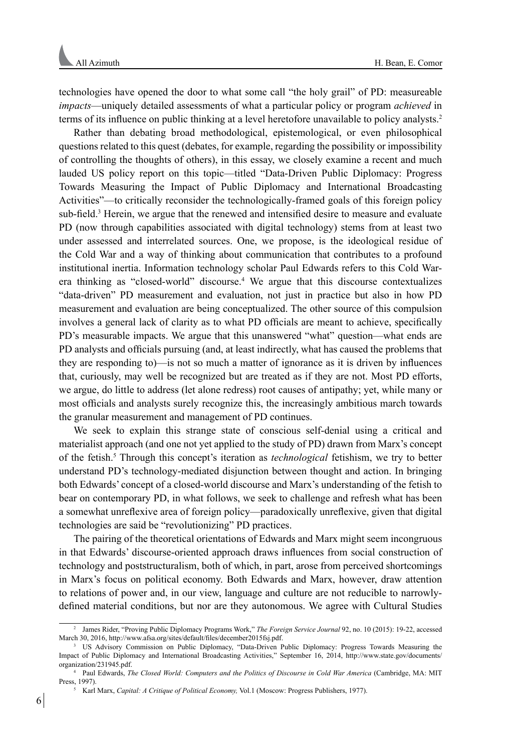technologies have opened the door to what some call "the holy grail" of PD: measureable *impacts*—uniquely detailed assessments of what a particular policy or program *achieved* in terms of its influence on public thinking at a level heretofore unavailable to policy analysts.<sup>2</sup>

Rather than debating broad methodological, epistemological, or even philosophical questions related to this quest (debates, for example, regarding the possibility or impossibility of controlling the thoughts of others), in this essay, we closely examine a recent and much lauded US policy report on this topic—titled "Data-Driven Public Diplomacy: Progress Towards Measuring the Impact of Public Diplomacy and International Broadcasting Activities"—to critically reconsider the technologically-framed goals of this foreign policy sub-field.<sup>3</sup> Herein, we argue that the renewed and intensified desire to measure and evaluate PD (now through capabilities associated with digital technology) stems from at least two under assessed and interrelated sources. One, we propose, is the ideological residue of the Cold War and a way of thinking about communication that contributes to a profound institutional inertia. Information technology scholar Paul Edwards refers to this Cold Warera thinking as "closed-world" discourse.<sup>4</sup> We argue that this discourse contextualizes "data-driven" PD measurement and evaluation, not just in practice but also in how PD measurement and evaluation are being conceptualized. The other source of this compulsion involves a general lack of clarity as to what PD officials are meant to achieve, specifically PD's measurable impacts. We argue that this unanswered "what" question—what ends are PD analysts and officials pursuing (and, at least indirectly, what has caused the problems that they are responding to)—is not so much a matter of ignorance as it is driven by influences that, curiously, may well be recognized but are treated as if they are not. Most PD efforts, we argue, do little to address (let alone redress) root causes of antipathy; yet, while many or most officials and analysts surely recognize this, the increasingly ambitious march towards the granular measurement and management of PD continues.

We seek to explain this strange state of conscious self-denial using a critical and materialist approach (and one not yet applied to the study of PD) drawn from Marx's concept of the fetish.5 Through this concept's iteration as *technological* fetishism, we try to better understand PD's technology-mediated disjunction between thought and action. In bringing both Edwards' concept of a closed-world discourse and Marx's understanding of the fetish to bear on contemporary PD, in what follows, we seek to challenge and refresh what has been a somewhat unreflexive area of foreign policy—paradoxically unreflexive, given that digital technologies are said be "revolutionizing" PD practices.

The pairing of the theoretical orientations of Edwards and Marx might seem incongruous in that Edwards' discourse-oriented approach draws influences from social construction of technology and poststructuralism, both of which, in part, arose from perceived shortcomings in Marx's focus on political economy. Both Edwards and Marx, however, draw attention to relations of power and, in our view, language and culture are not reducible to narrowlydefined material conditions, but nor are they autonomous. We agree with Cultural Studies

<sup>2</sup> James Rider, "Proving Public Diplomacy Programs Work," *The Foreign Service Journal* 92, no. 10 (2015): 19-22, accessed March 30, 2016, http://www.afsa.org/sites/default/files/december2015fsj.pdf.

<sup>&</sup>lt;sup>3</sup> US Advisory Commission on Public Diplomacy, "Data-Driven Public Diplomacy: Progress Towards Measuring the Impact of Public Diplomacy and International Broadcasting Activities," September 16, 2014, http://www.state.gov/documents/ organization/231945.pdf.

<sup>4</sup> Paul Edwards, *The Closed World: Computers and the Politics of Discourse in Cold War America* (Cambridge, MA: MIT Press, 1997).

<sup>5</sup> Karl Marx, *Capital: A Critique of Political Economy,* Vol.1 (Moscow: Progress Publishers, 1977).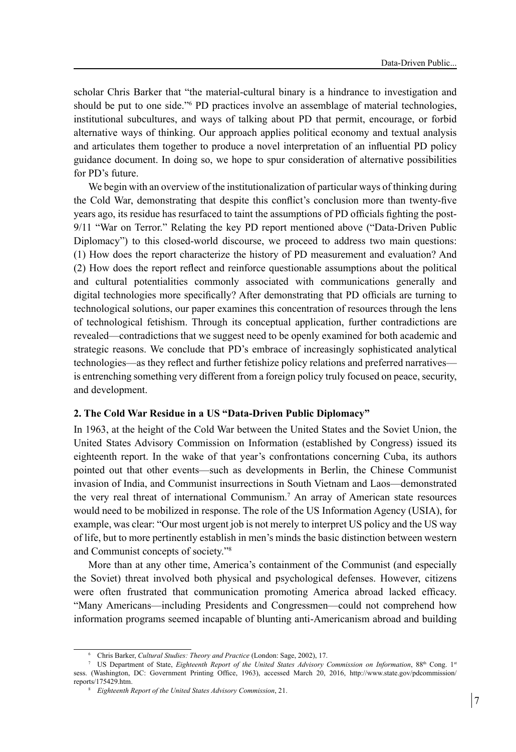scholar Chris Barker that "the material-cultural binary is a hindrance to investigation and should be put to one side.<sup>"6</sup> PD practices involve an assemblage of material technologies, institutional subcultures, and ways of talking about PD that permit, encourage, or forbid alternative ways of thinking. Our approach applies political economy and textual analysis and articulates them together to produce a novel interpretation of an influential PD policy guidance document. In doing so, we hope to spur consideration of alternative possibilities for PD's future.

We begin with an overview of the institutionalization of particular ways of thinking during the Cold War, demonstrating that despite this conflict's conclusion more than twenty-five years ago, its residue has resurfaced to taint the assumptions of PD officials fighting the post-9/11 "War on Terror." Relating the key PD report mentioned above ("Data-Driven Public Diplomacy") to this closed-world discourse, we proceed to address two main questions: (1) How does the report characterize the history of PD measurement and evaluation? And (2) How does the report reflect and reinforce questionable assumptions about the political and cultural potentialities commonly associated with communications generally and digital technologies more specifically? After demonstrating that PD officials are turning to technological solutions, our paper examines this concentration of resources through the lens of technological fetishism. Through its conceptual application, further contradictions are revealed—contradictions that we suggest need to be openly examined for both academic and strategic reasons. We conclude that PD's embrace of increasingly sophisticated analytical technologies—as they reflect and further fetishize policy relations and preferred narratives is entrenching something very different from a foreign policy truly focused on peace, security, and development.

## **2. The Cold War Residue in a US "Data-Driven Public Diplomacy"**

In 1963, at the height of the Cold War between the United States and the Soviet Union, the United States Advisory Commission on Information (established by Congress) issued its eighteenth report. In the wake of that year's confrontations concerning Cuba, its authors pointed out that other events—such as developments in Berlin, the Chinese Communist invasion of India, and Communist insurrections in South Vietnam and Laos—demonstrated the very real threat of international Communism.7 An array of American state resources would need to be mobilized in response. The role of the US Information Agency (USIA), for example, was clear: "Our most urgent job is not merely to interpret US policy and the US way of life, but to more pertinently establish in men's minds the basic distinction between western and Communist concepts of society."8

More than at any other time, America's containment of the Communist (and especially the Soviet) threat involved both physical and psychological defenses. However, citizens were often frustrated that communication promoting America abroad lacked efficacy. "Many Americans—including Presidents and Congressmen—could not comprehend how information programs seemed incapable of blunting anti-Americanism abroad and building

<sup>6</sup> Chris Barker, *Cultural Studies: Theory and Practice* (London: Sage, 2002), 17.

<sup>&</sup>lt;sup>7</sup> US Department of State, *Eighteenth Report of the United States Advisory Commission on Information*, 88<sup>th</sup> Cong. 1<sup>st</sup> sess. (Washington, DC: Government Printing Office, 1963), accessed March 20, 2016, http://www.state.gov/pdcommission/ reports/175429.htm.

<sup>8</sup> *Eighteenth Report of the United States Advisory Commission*, 21.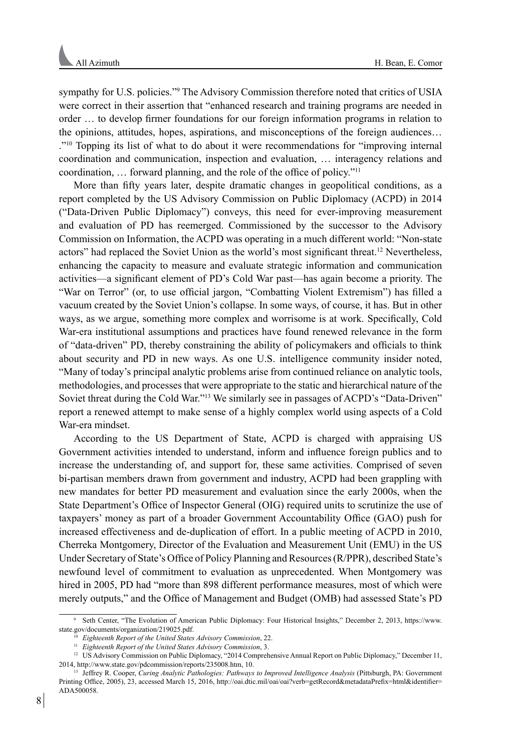sympathy for U.S. policies."9 The Advisory Commission therefore noted that critics of USIA were correct in their assertion that "enhanced research and training programs are needed in order … to develop firmer foundations for our foreign information programs in relation to the opinions, attitudes, hopes, aspirations, and misconceptions of the foreign audiences… ."10 Topping its list of what to do about it were recommendations for "improving internal coordination and communication, inspection and evaluation, … interagency relations and coordination, … forward planning, and the role of the office of policy."<sup>11</sup>

More than fifty years later, despite dramatic changes in geopolitical conditions, as a report completed by the US Advisory Commission on Public Diplomacy (ACPD) in 2014 ("Data-Driven Public Diplomacy") conveys, this need for ever-improving measurement and evaluation of PD has reemerged. Commissioned by the successor to the Advisory Commission on Information, the ACPD was operating in a much different world: "Non-state actors" had replaced the Soviet Union as the world's most significant threat.<sup>12</sup> Nevertheless, enhancing the capacity to measure and evaluate strategic information and communication activities—a significant element of PD's Cold War past—has again become a priority. The "War on Terror" (or, to use official jargon, "Combatting Violent Extremism") has filled a vacuum created by the Soviet Union's collapse. In some ways, of course, it has. But in other ways, as we argue, something more complex and worrisome is at work. Specifically, Cold War-era institutional assumptions and practices have found renewed relevance in the form of "data-driven" PD, thereby constraining the ability of policymakers and officials to think about security and PD in new ways. As one U.S. intelligence community insider noted, "Many of today's principal analytic problems arise from continued reliance on analytic tools, methodologies, and processes that were appropriate to the static and hierarchical nature of the Soviet threat during the Cold War."13 We similarly see in passages of ACPD's "Data-Driven" report a renewed attempt to make sense of a highly complex world using aspects of a Cold War-era mindset.

According to the US Department of State, ACPD is charged with appraising US Government activities intended to understand, inform and influence foreign publics and to increase the understanding of, and support for, these same activities. Comprised of seven bi-partisan members drawn from government and industry, ACPD had been grappling with new mandates for better PD measurement and evaluation since the early 2000s, when the State Department's Office of Inspector General (OIG) required units to scrutinize the use of taxpayers' money as part of a broader Government Accountability Office (GAO) push for increased effectiveness and de-duplication of effort. In a public meeting of ACPD in 2010, Cherreka Montgomery, Director of the Evaluation and Measurement Unit (EMU) in the US Under Secretary of State's Office of Policy Planning and Resources (R/PPR), described State's newfound level of commitment to evaluation as unprecedented. When Montgomery was hired in 2005, PD had "more than 898 different performance measures, most of which were merely outputs," and the Office of Management and Budget (OMB) had assessed State's PD

<sup>9</sup> Seth Center, "The Evolution of American Public Diplomacy: Four Historical Insights," December 2, 2013, https://www.

Eighteenth Report of the United States Advisory Commission, 22.

<sup>11</sup> *Eighteenth Report of the United States Advisory Commission*, 3.

<sup>&</sup>lt;sup>12</sup> US Advisory Commission on Public Diplomacy, "2014 Comprehensive Annual Report on Public Diplomacy," December 11, 2014, http://www.state.gov/pdcommission/reports/235008.htm, 10.

<sup>13</sup> Jeffrey R. Cooper, *Curing Analytic Pathologies: Pathways to Improved Intelligence Analysis* (Pittsburgh, PA: Government Printing Office, 2005), 23, accessed March 15, 2016, http://oai.dtic.mil/oai/oai?verb=getRecord&metadataPrefix=html&identifier= ADA500058.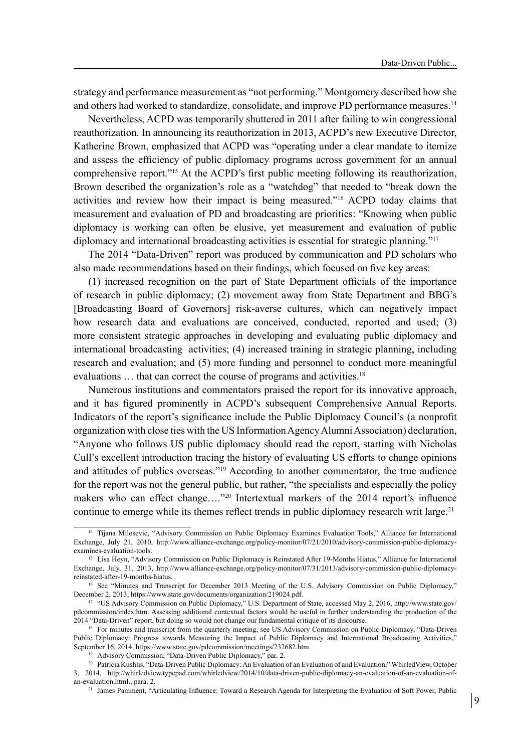strategy and performance measurement as "not performing." Montgomery described how she and others had worked to standardize, consolidate, and improve PD performance measures.14

Nevertheless, ACPD was temporarily shuttered in 2011 after failing to win congressional reauthorization. In announcing its reauthorization in 2013, ACPD's new Executive Director, Katherine Brown, emphasized that ACPD was "operating under a clear mandate to itemize and assess the efficiency of public diplomacy programs across government for an annual comprehensive report."15 At the ACPD's first public meeting following its reauthorization, Brown described the organization's role as a "watchdog" that needed to "break down the activities and review how their impact is being measured."16 ACPD today claims that measurement and evaluation of PD and broadcasting are priorities: "Knowing when public diplomacy is working can often be elusive, yet measurement and evaluation of public diplomacy and international broadcasting activities is essential for strategic planning."17

The 2014 "Data-Driven" report was produced by communication and PD scholars who also made recommendations based on their findings, which focused on five key areas:

(1) increased recognition on the part of State Department officials of the importance of research in public diplomacy; (2) movement away from State Department and BBG's [Broadcasting Board of Governors] risk-averse cultures, which can negatively impact how research data and evaluations are conceived, conducted, reported and used; (3) more consistent strategic approaches in developing and evaluating public diplomacy and international broadcasting activities; (4) increased training in strategic planning, including research and evaluation; and (5) more funding and personnel to conduct more meaningful evaluations ... that can correct the course of programs and activities.<sup>18</sup>

Numerous institutions and commentators praised the report for its innovative approach, and it has figured prominently in ACPD's subsequent Comprehensive Annual Reports. Indicators of the report's significance include the Public Diplomacy Council's (a nonprofit organization with close ties with the US Information Agency Alumni Association) declaration, "Anyone who follows US public diplomacy should read the report, starting with Nicholas Cull's excellent introduction tracing the history of evaluating US efforts to change opinions and attitudes of publics overseas."19 According to another commentator, the true audience for the report was not the general public, but rather, "the specialists and especially the policy makers who can effect change…."20 Intertextual markers of the 2014 report's influence continue to emerge while its themes reflect trends in public diplomacy research writ large.<sup>21</sup>

<sup>14</sup> Tijana Milosevic, "Advisory Commission on Public Diplomacy Examines Evaluation Tools," Alliance for International Exchange, July 21, 2010, http://www.alliance-exchange.org/policy-monitor/07/21/2010/advisory-commission-public-diplomacyexamines-evaluation-tools. 15 Lisa Heyn, "Advisory Commission on Public Diplomacy is Reinstated After 19-Months Hiatus," Alliance for International

Exchange, July, 31, 2013, http://www.alliance-exchange.org/policy-monitor/07/31/2013/advisory-commission-public-diplomacyreinstated-after-19-months-hiatus.

<sup>&</sup>lt;sup>16</sup> See "Minutes and Transcript for December 2013 Meeting of the U.S. Advisory Commission on Public Diplomacy," December 2, 2013, https://www.state.gov/documents/organization/219024.pdf.

<sup>17</sup> "US Advisory Commission on Public Diplomacy," U.S. Department of State, accessed May 2, 2016, http://www.state.gov/ pdcommission/index.htm. Assessing additional contextual factors would be useful in further understanding the production of the 2014 "Data-Driven" report, but doing so would not change our fundamental critique of its discourse.

<sup>&</sup>lt;sup>18</sup> For minutes and transcript from the quarterly meeting, see US Advisory Commission on Public Diplomacy, "Data-Driven Public Diplomacy: Progress towards Measuring the Impact of Public Diplomacy and International Broadcasting Activities," September 16, 2014, https://www.state.gov/pdcommission/meetings/232682.htm.

<sup>&</sup>lt;sup>19</sup> Advisory Commission, "Data-Driven Public Diplomacy," par. 2.

<sup>20</sup> Patricia Kushlis, "Data-Driven Public Diplomacy: An Evaluation of an Evaluation of and Evaluation," WhirledView, October 3, 2014, http://whirledview.typepad.com/whirledview/2014/10/data-driven-public-diplomacy-an-evaluation-of-an-evaluation-of-

<sup>&</sup>lt;sup>21</sup> James Pamment, "Articulating Influence: Toward a Research Agenda for Interpreting the Evaluation of Soft Power, Public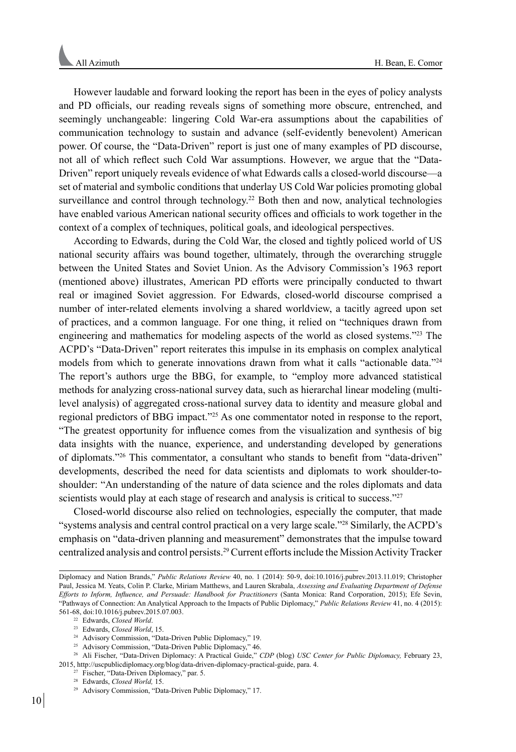However laudable and forward looking the report has been in the eyes of policy analysts and PD officials, our reading reveals signs of something more obscure, entrenched, and seemingly unchangeable: lingering Cold War-era assumptions about the capabilities of communication technology to sustain and advance (self-evidently benevolent) American power. Of course, the "Data-Driven" report is just one of many examples of PD discourse, not all of which reflect such Cold War assumptions. However, we argue that the "Data-Driven" report uniquely reveals evidence of what Edwards calls a closed-world discourse—a set of material and symbolic conditions that underlay US Cold War policies promoting global surveillance and control through technology.<sup>22</sup> Both then and now, analytical technologies have enabled various American national security offices and officials to work together in the context of a complex of techniques, political goals, and ideological perspectives.

According to Edwards, during the Cold War, the closed and tightly policed world of US national security affairs was bound together, ultimately, through the overarching struggle between the United States and Soviet Union. As the Advisory Commission's 1963 report (mentioned above) illustrates, American PD efforts were principally conducted to thwart real or imagined Soviet aggression. For Edwards, closed-world discourse comprised a number of inter-related elements involving a shared worldview, a tacitly agreed upon set of practices, and a common language. For one thing, it relied on "techniques drawn from engineering and mathematics for modeling aspects of the world as closed systems."23 The ACPD's "Data-Driven" report reiterates this impulse in its emphasis on complex analytical models from which to generate innovations drawn from what it calls "actionable data."<sup>24</sup> The report's authors urge the BBG, for example, to "employ more advanced statistical methods for analyzing cross-national survey data, such as hierarchal linear modeling (multilevel analysis) of aggregated cross-national survey data to identity and measure global and regional predictors of BBG impact."25 As one commentator noted in response to the report, "The greatest opportunity for influence comes from the visualization and synthesis of big data insights with the nuance, experience, and understanding developed by generations of diplomats."26 This commentator, a consultant who stands to benefit from "data-driven" developments, described the need for data scientists and diplomats to work shoulder-toshoulder: "An understanding of the nature of data science and the roles diplomats and data scientists would play at each stage of research and analysis is critical to success."<sup>27</sup>

Closed-world discourse also relied on technologies, especially the computer, that made "systems analysis and central control practical on a very large scale."<sup>28</sup> Similarly, the ACPD's emphasis on "data-driven planning and measurement" demonstrates that the impulse toward centralized analysis and control persists.29 Current efforts include the Mission Activity Tracker

Diplomacy and Nation Brands," *Public Relations Review* 40, no. 1 (2014): 50-9, doi:10.1016/j.pubrev.2013.11.019; Christopher Paul, Jessica M. Yeats, Colin P. Clarke, Miriam Matthews, and Lauren Skrabala, *Assessing and Evaluating Department of Defense Efforts to Inform, Influence, and Persuade: Handbook for Practitioners* (Santa Monica: Rand Corporation, 2015); Efe Sevin, "Pathways of Connection: An Analytical Approach to the Impacts of Public Diplomacy," *Public Relations Review* 41, no. 4 (2015): 561-68, doi:10.1016/j.pubrev.2015.07.003.

<sup>22</sup> Edwards, *Closed World*.

<sup>23</sup> Edwards, *Closed World*, 15.

<sup>24</sup> Advisory Commission, "Data-Driven Public Diplomacy," 19.

<sup>25</sup> Advisory Commission, "Data-Driven Public Diplomacy," 46.

<sup>26</sup> Ali Fischer, "Data-Driven Diplomacy: A Practical Guide," *CDP* (blog) *USC Center for Public Diplomacy,* February 23, 2015, http://uscpublicdiplomacy.org/blog/data-driven-diplomacy-practical-guide, para. 4.

<sup>&</sup>lt;sup>27</sup> Fischer, "Data-Driven Diplomacy," par. 5.

<sup>28</sup> Edwards, *Closed World,* 15.

<sup>29</sup> Advisory Commission, "Data-Driven Public Diplomacy," 17.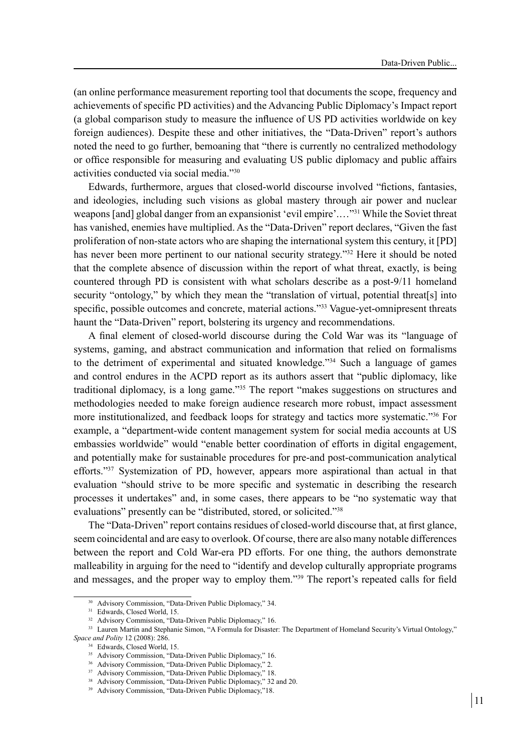(an online performance measurement reporting tool that documents the scope, frequency and achievements of specific PD activities) and the Advancing Public Diplomacy's Impact report (a global comparison study to measure the influence of US PD activities worldwide on key foreign audiences). Despite these and other initiatives, the "Data-Driven" report's authors noted the need to go further, bemoaning that "there is currently no centralized methodology or office responsible for measuring and evaluating US public diplomacy and public affairs activities conducted via social media."30

Edwards, furthermore, argues that closed-world discourse involved "fictions, fantasies, and ideologies, including such visions as global mastery through air power and nuclear weapons [and] global danger from an expansionist 'evil empire'.…"31 While the Soviet threat has vanished, enemies have multiplied. As the "Data-Driven" report declares, "Given the fast proliferation of non-state actors who are shaping the international system this century, it [PD] has never been more pertinent to our national security strategy."<sup>32</sup> Here it should be noted that the complete absence of discussion within the report of what threat, exactly, is being countered through PD is consistent with what scholars describe as a post-9/11 homeland security "ontology," by which they mean the "translation of virtual, potential threat[s] into specific, possible outcomes and concrete, material actions."<sup>33</sup> Vague-yet-omnipresent threats haunt the "Data-Driven" report, bolstering its urgency and recommendations.

A final element of closed-world discourse during the Cold War was its "language of systems, gaming, and abstract communication and information that relied on formalisms to the detriment of experimental and situated knowledge."34 Such a language of games and control endures in the ACPD report as its authors assert that "public diplomacy, like traditional diplomacy, is a long game."35 The report "makes suggestions on structures and methodologies needed to make foreign audience research more robust, impact assessment more institutionalized, and feedback loops for strategy and tactics more systematic."36 For example, a "department-wide content management system for social media accounts at US embassies worldwide" would "enable better coordination of efforts in digital engagement, and potentially make for sustainable procedures for pre-and post-communication analytical efforts."37 Systemization of PD, however, appears more aspirational than actual in that evaluation "should strive to be more specific and systematic in describing the research processes it undertakes" and, in some cases, there appears to be "no systematic way that evaluations" presently can be "distributed, stored, or solicited."<sup>38</sup>

The "Data-Driven" report contains residues of closed-world discourse that, at first glance, seem coincidental and are easy to overlook. Of course, there are also many notable differences between the report and Cold War-era PD efforts. For one thing, the authors demonstrate malleability in arguing for the need to "identify and develop culturally appropriate programs and messages, and the proper way to employ them."39 The report's repeated calls for field

<sup>30</sup> Advisory Commission, "Data-Driven Public Diplomacy," 34.

<sup>31</sup> Edwards, Closed World, 15.

<sup>&</sup>lt;sup>32</sup> Advisory Commission, "Data-Driven Public Diplomacy," 16.

<sup>33</sup> Lauren Martin and Stephanie Simon, "A Formula for Disaster: The Department of Homeland Security's Virtual Ontology," *Space and Polity* 12 (2008): 286.

<sup>34</sup> Edwards, Closed World, 15.

<sup>&</sup>lt;sup>35</sup> Advisory Commission, "Data-Driven Public Diplomacy," 16.

<sup>36</sup> Advisory Commission, "Data-Driven Public Diplomacy," 2.

<sup>37</sup> Advisory Commission, "Data-Driven Public Diplomacy," 18.

<sup>38</sup> Advisory Commission, "Data-Driven Public Diplomacy," 32 and 20.

<sup>39</sup> Advisory Commission, "Data-Driven Public Diplomacy,"18.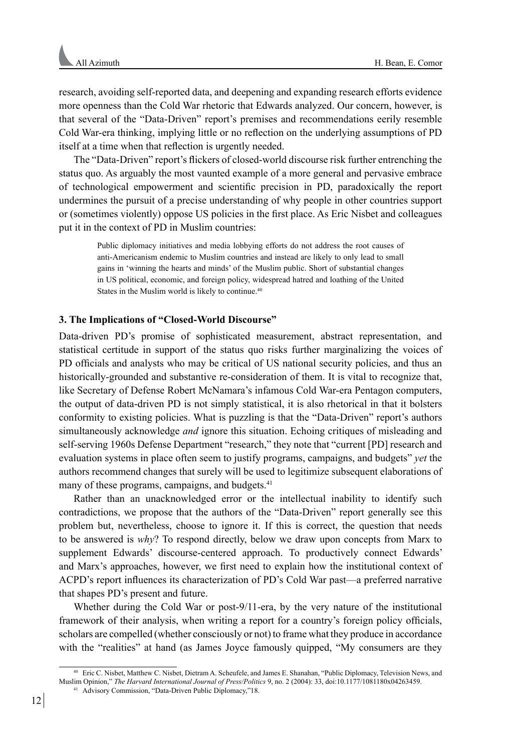research, avoiding self-reported data, and deepening and expanding research efforts evidence more openness than the Cold War rhetoric that Edwards analyzed. Our concern, however, is that several of the "Data-Driven" report's premises and recommendations eerily resemble Cold War-era thinking, implying little or no reflection on the underlying assumptions of PD itself at a time when that reflection is urgently needed.

The "Data-Driven" report's flickers of closed-world discourse risk further entrenching the status quo. As arguably the most vaunted example of a more general and pervasive embrace of technological empowerment and scientific precision in PD, paradoxically the report undermines the pursuit of a precise understanding of why people in other countries support or (sometimes violently) oppose US policies in the first place. As Eric Nisbet and colleagues put it in the context of PD in Muslim countries:

Public diplomacy initiatives and media lobbying efforts do not address the root causes of anti-Americanism endemic to Muslim countries and instead are likely to only lead to small gains in 'winning the hearts and minds' of the Muslim public. Short of substantial changes in US political, economic, and foreign policy, widespread hatred and loathing of the United States in the Muslim world is likely to continue.<sup>40</sup>

## **3. The Implications of "Closed-World Discourse"**

Data-driven PD's promise of sophisticated measurement, abstract representation, and statistical certitude in support of the status quo risks further marginalizing the voices of PD officials and analysts who may be critical of US national security policies, and thus an historically-grounded and substantive re-consideration of them. It is vital to recognize that, like Secretary of Defense Robert McNamara's infamous Cold War-era Pentagon computers, the output of data-driven PD is not simply statistical, it is also rhetorical in that it bolsters conformity to existing policies. What is puzzling is that the "Data-Driven" report's authors simultaneously acknowledge *and* ignore this situation. Echoing critiques of misleading and self-serving 1960s Defense Department "research," they note that "current [PD] research and evaluation systems in place often seem to justify programs, campaigns, and budgets" *yet* the authors recommend changes that surely will be used to legitimize subsequent elaborations of many of these programs, campaigns, and budgets.<sup>41</sup>

Rather than an unacknowledged error or the intellectual inability to identify such contradictions, we propose that the authors of the "Data-Driven" report generally see this problem but, nevertheless, choose to ignore it. If this is correct, the question that needs to be answered is *why*? To respond directly, below we draw upon concepts from Marx to supplement Edwards' discourse-centered approach. To productively connect Edwards' and Marx's approaches, however, we first need to explain how the institutional context of ACPD's report influences its characterization of PD's Cold War past—a preferred narrative that shapes PD's present and future.

Whether during the Cold War or post-9/11-era, by the very nature of the institutional framework of their analysis, when writing a report for a country's foreign policy officials, scholars are compelled (whether consciously or not) to frame what they produce in accordance with the "realities" at hand (as James Joyce famously quipped, "My consumers are they

<sup>40</sup> Eric C. Nisbet, Matthew C. Nisbet, Dietram A. Scheufele, and James E. Shanahan, "Public Diplomacy, Television News, and Muslim Opinion," *The Harvard International Journal of Press/Politics* 9, no. 2 (2004): 33, doi:10.1177/1081180x04263459. <sup>41</sup> Advisory Commission, "Data-Driven Public Diplomacy,"18.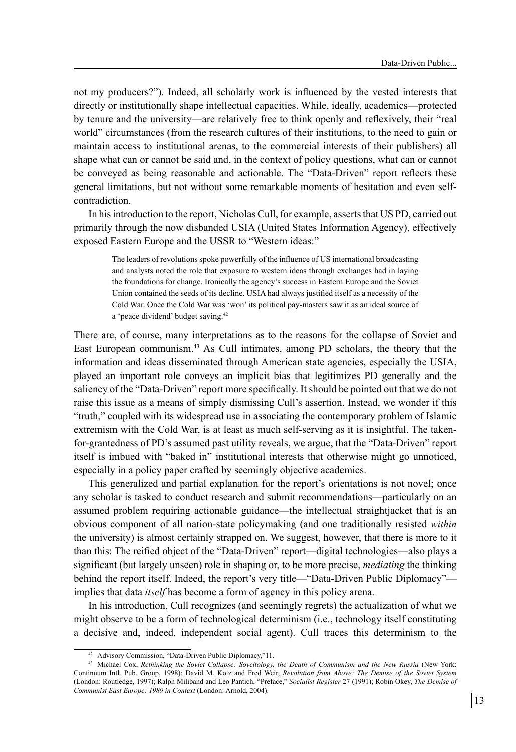not my producers?"). Indeed, all scholarly work is influenced by the vested interests that directly or institutionally shape intellectual capacities. While, ideally, academics—protected by tenure and the university—are relatively free to think openly and reflexively, their "real world" circumstances (from the research cultures of their institutions, to the need to gain or maintain access to institutional arenas, to the commercial interests of their publishers) all shape what can or cannot be said and, in the context of policy questions, what can or cannot be conveyed as being reasonable and actionable. The "Data-Driven" report reflects these general limitations, but not without some remarkable moments of hesitation and even selfcontradiction.

In his introduction to the report, Nicholas Cull, for example, asserts that US PD, carried out primarily through the now disbanded USIA (United States Information Agency), effectively exposed Eastern Europe and the USSR to "Western ideas:"

The leaders of revolutions spoke powerfully of the influence of US international broadcasting and analysts noted the role that exposure to western ideas through exchanges had in laying the foundations for change. Ironically the agency's success in Eastern Europe and the Soviet Union contained the seeds of its decline. USIA had always justified itself as a necessity of the Cold War. Once the Cold War was 'won' its political pay-masters saw it as an ideal source of a 'peace dividend' budget saving.<sup>42</sup>

There are, of course, many interpretations as to the reasons for the collapse of Soviet and East European communism.43 As Cull intimates, among PD scholars, the theory that the information and ideas disseminated through American state agencies, especially the USIA, played an important role conveys an implicit bias that legitimizes PD generally and the saliency of the "Data-Driven" report more specifically. It should be pointed out that we do not raise this issue as a means of simply dismissing Cull's assertion. Instead, we wonder if this "truth," coupled with its widespread use in associating the contemporary problem of Islamic extremism with the Cold War, is at least as much self-serving as it is insightful. The takenfor-grantedness of PD's assumed past utility reveals, we argue, that the "Data-Driven" report itself is imbued with "baked in" institutional interests that otherwise might go unnoticed, especially in a policy paper crafted by seemingly objective academics.

This generalized and partial explanation for the report's orientations is not novel; once any scholar is tasked to conduct research and submit recommendations—particularly on an assumed problem requiring actionable guidance—the intellectual straightjacket that is an obvious component of all nation-state policymaking (and one traditionally resisted *within* the university) is almost certainly strapped on. We suggest, however, that there is more to it than this: The reified object of the "Data-Driven" report—digital technologies—also plays a significant (but largely unseen) role in shaping or, to be more precise, *mediating* the thinking behind the report itself. Indeed, the report's very title—"Data-Driven Public Diplomacy" implies that data *itself* has become a form of agency in this policy arena.

In his introduction, Cull recognizes (and seemingly regrets) the actualization of what we might observe to be a form of technological determinism (i.e., technology itself constituting a decisive and, indeed, independent social agent). Cull traces this determinism to the

<sup>42</sup> Advisory Commission, "Data-Driven Public Diplomacy,"11.

<sup>43</sup> Michael Cox, *Rethinking the Soviet Collapse: Soveitology, the Death of Communism and the New Russia* (New York: Continuum Intl. Pub. Group, 1998); David M. Kotz and Fred Weir, *Revolution from Above: The Demise of the Soviet System*  (London: Routledge, 1997); Ralph Miliband and Leo Pantich, "Preface," *Socialist Register* 27 (1991); Robin Okey, *The Demise of Communist East Europe: 1989 in Context* (London: Arnold, 2004).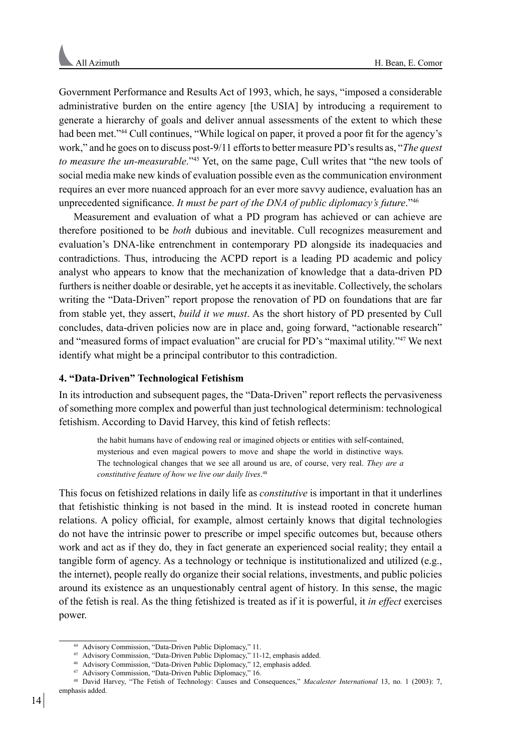Government Performance and Results Act of 1993, which, he says, "imposed a considerable administrative burden on the entire agency [the USIA] by introducing a requirement to generate a hierarchy of goals and deliver annual assessments of the extent to which these had been met."<sup>44</sup> Cull continues, "While logical on paper, it proved a poor fit for the agency's work," and he goes on to discuss post-9/11 efforts to better measure PD's results as, "*The quest to measure the un-measurable*."45 Yet, on the same page, Cull writes that "the new tools of social media make new kinds of evaluation possible even as the communication environment requires an ever more nuanced approach for an ever more savvy audience, evaluation has an unprecedented significance. *It must be part of the DNA of public diplomacy's future*."<sup>46</sup>

Measurement and evaluation of what a PD program has achieved or can achieve are therefore positioned to be *both* dubious and inevitable. Cull recognizes measurement and evaluation's DNA-like entrenchment in contemporary PD alongside its inadequacies and contradictions. Thus, introducing the ACPD report is a leading PD academic and policy analyst who appears to know that the mechanization of knowledge that a data-driven PD furthers is neither doable or desirable, yet he accepts it as inevitable. Collectively, the scholars writing the "Data-Driven" report propose the renovation of PD on foundations that are far from stable yet, they assert, *build it we must*. As the short history of PD presented by Cull concludes, data-driven policies now are in place and, going forward, "actionable research" and "measured forms of impact evaluation" are crucial for PD's "maximal utility."<sup>47</sup> We next identify what might be a principal contributor to this contradiction.

# **4. "Data-Driven" Technological Fetishism**

In its introduction and subsequent pages, the "Data-Driven" report reflects the pervasiveness of something more complex and powerful than just technological determinism: technological fetishism. According to David Harvey, this kind of fetish reflects:

the habit humans have of endowing real or imagined objects or entities with self-contained, mysterious and even magical powers to move and shape the world in distinctive ways. The technological changes that we see all around us are, of course, very real. *They are a constitutive feature of how we live our daily lives*. 48

This focus on fetishized relations in daily life as *constitutive* is important in that it underlines that fetishistic thinking is not based in the mind. It is instead rooted in concrete human relations. A policy official, for example, almost certainly knows that digital technologies do not have the intrinsic power to prescribe or impel specific outcomes but, because others work and act as if they do, they in fact generate an experienced social reality; they entail a tangible form of agency. As a technology or technique is institutionalized and utilized (e.g., the internet), people really do organize their social relations, investments, and public policies around its existence as an unquestionably central agent of history. In this sense, the magic of the fetish is real. As the thing fetishized is treated as if it is powerful, it *in effect* exercises power.

<sup>44</sup> Advisory Commission, "Data-Driven Public Diplomacy," 11.

<sup>45</sup> Advisory Commission, "Data-Driven Public Diplomacy," 11-12, emphasis added.

<sup>46</sup> Advisory Commission, "Data-Driven Public Diplomacy," 12, emphasis added.

<sup>47</sup> Advisory Commission, "Data-Driven Public Diplomacy," 16.

<sup>48</sup> David Harvey, "The Fetish of Technology: Causes and Consequences," *Macalester International* 13, no. 1 (2003): 7, emphasis added.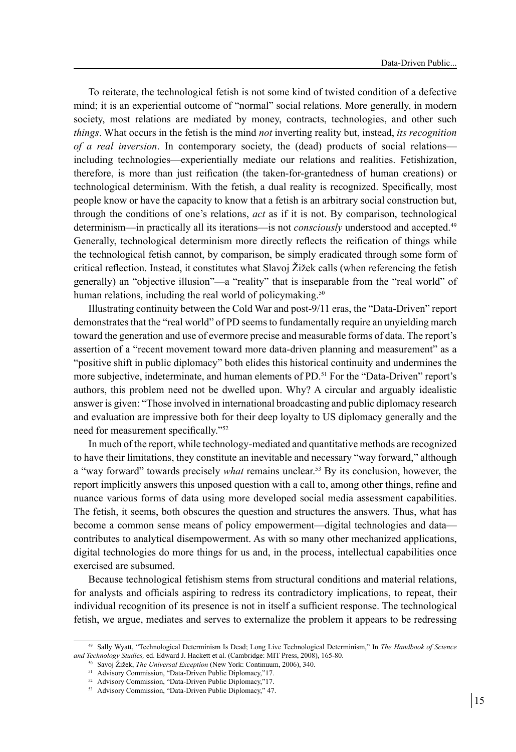To reiterate, the technological fetish is not some kind of twisted condition of a defective mind; it is an experiential outcome of "normal" social relations. More generally, in modern society, most relations are mediated by money, contracts, technologies, and other such *things*. What occurs in the fetish is the mind *not* inverting reality but, instead, *its recognition of a real inversion*. In contemporary society, the (dead) products of social relations including technologies—experientially mediate our relations and realities. Fetishization, therefore, is more than just reification (the taken-for-grantedness of human creations) or technological determinism. With the fetish, a dual reality is recognized. Specifically, most people know or have the capacity to know that a fetish is an arbitrary social construction but, through the conditions of one's relations, *act* as if it is not. By comparison, technological determinism—in practically all its iterations—is not *consciously* understood and accepted.<sup>49</sup> Generally, technological determinism more directly reflects the reification of things while the technological fetish cannot, by comparison, be simply eradicated through some form of critical reflection. Instead, it constitutes what Slavoj Žižek calls (when referencing the fetish generally) an "objective illusion"—a "reality" that is inseparable from the "real world" of human relations, including the real world of policymaking.<sup>50</sup>

Illustrating continuity between the Cold War and post-9/11 eras, the "Data-Driven" report demonstrates that the "real world" of PD seems to fundamentally require an unyielding march toward the generation and use of evermore precise and measurable forms of data. The report's assertion of a "recent movement toward more data-driven planning and measurement" as a "positive shift in public diplomacy" both elides this historical continuity and undermines the more subjective, indeterminate, and human elements of PD.51 For the "Data-Driven" report's authors, this problem need not be dwelled upon. Why? A circular and arguably idealistic answer is given: "Those involved in international broadcasting and public diplomacy research and evaluation are impressive both for their deep loyalty to US diplomacy generally and the need for measurement specifically."<sup>52</sup>

In much of the report, while technology-mediated and quantitative methods are recognized to have their limitations, they constitute an inevitable and necessary "way forward," although a "way forward" towards precisely *what* remains unclear.53 By its conclusion, however, the report implicitly answers this unposed question with a call to, among other things, refine and nuance various forms of data using more developed social media assessment capabilities. The fetish, it seems, both obscures the question and structures the answers. Thus, what has become a common sense means of policy empowerment—digital technologies and data contributes to analytical disempowerment. As with so many other mechanized applications, digital technologies do more things for us and, in the process, intellectual capabilities once exercised are subsumed.

Because technological fetishism stems from structural conditions and material relations, for analysts and officials aspiring to redress its contradictory implications, to repeat, their individual recognition of its presence is not in itself a sufficient response. The technological fetish, we argue, mediates and serves to externalize the problem it appears to be redressing

<sup>49</sup> Sally Wyatt, "Technological Determinism Is Dead; Long Live Technological Determinism," In *The Handbook of Science and Technology Studies,* ed. Edward J. Hackett et al. (Cambridge: MIT Press, 2008), 165-80.

<sup>50</sup> Savoj Žižek, *The Universal Exception* (New York: Continuum, 2006), 340.

<sup>51</sup> Advisory Commission, "Data-Driven Public Diplomacy,"17.

<sup>52</sup> Advisory Commission, "Data-Driven Public Diplomacy,"17.

<sup>53</sup> Advisory Commission, "Data-Driven Public Diplomacy," 47.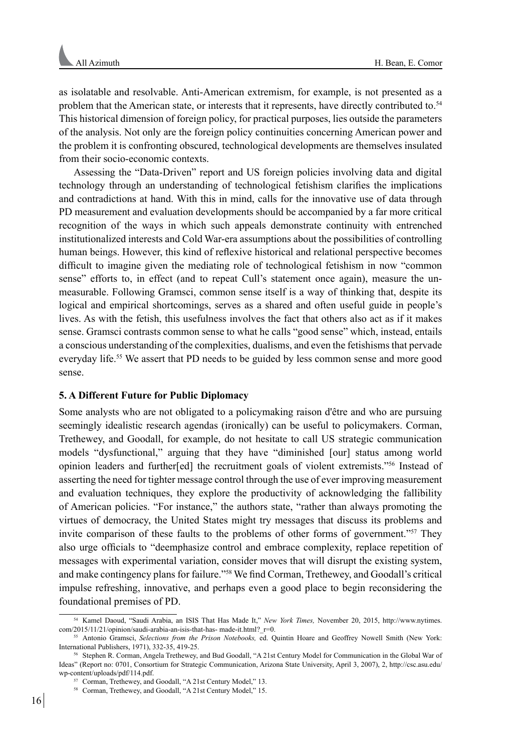as isolatable and resolvable. Anti-American extremism, for example, is not presented as a problem that the American state, or interests that it represents, have directly contributed to.54 This historical dimension of foreign policy, for practical purposes, lies outside the parameters of the analysis. Not only are the foreign policy continuities concerning American power and the problem it is confronting obscured, technological developments are themselves insulated from their socio-economic contexts.

Assessing the "Data-Driven" report and US foreign policies involving data and digital technology through an understanding of technological fetishism clarifies the implications and contradictions at hand. With this in mind, calls for the innovative use of data through PD measurement and evaluation developments should be accompanied by a far more critical recognition of the ways in which such appeals demonstrate continuity with entrenched institutionalized interests and Cold War-era assumptions about the possibilities of controlling human beings. However, this kind of reflexive historical and relational perspective becomes difficult to imagine given the mediating role of technological fetishism in now "common sense" efforts to, in effect (and to repeat Cull's statement once again), measure the unmeasurable. Following Gramsci, common sense itself is a way of thinking that, despite its logical and empirical shortcomings, serves as a shared and often useful guide in people's lives. As with the fetish, this usefulness involves the fact that others also act as if it makes sense. Gramsci contrasts common sense to what he calls "good sense" which, instead, entails a conscious understanding of the complexities, dualisms, and even the fetishisms that pervade everyday life.55 We assert that PD needs to be guided by less common sense and more good sense.

# **5. A Different Future for Public Diplomacy**

Some analysts who are not obligated to a policymaking raison d'être and who are pursuing seemingly idealistic research agendas (ironically) can be useful to policymakers. Corman, Trethewey, and Goodall, for example, do not hesitate to call US strategic communication models "dysfunctional," arguing that they have "diminished [our] status among world opinion leaders and further[ed] the recruitment goals of violent extremists."56 Instead of asserting the need for tighter message control through the use of ever improving measurement and evaluation techniques, they explore the productivity of acknowledging the fallibility of American policies. "For instance," the authors state, "rather than always promoting the virtues of democracy, the United States might try messages that discuss its problems and invite comparison of these faults to the problems of other forms of government."<sup>57</sup> They also urge officials to "deemphasize control and embrace complexity, replace repetition of messages with experimental variation, consider moves that will disrupt the existing system, and make contingency plans for failure."58 We find Corman, Trethewey, and Goodall's critical impulse refreshing, innovative, and perhaps even a good place to begin reconsidering the foundational premises of PD.

<sup>54</sup> Kamel Daoud, "Saudi Arabia, an ISIS That Has Made It," *New York Times,* November 20, 2015, http://www.nytimes. com/2015/11/21/opinion/saudi-arabia-an-isis-that-has- made-it.html? r=0.

<sup>55</sup> Antonio Gramsci, *Selections from the Prison Notebooks,* ed. Quintin Hoare and Geoffrey Nowell Smith (New York: International Publishers, 1971), 332-35, 419-25.

<sup>56</sup> Stephen R. Corman, Angela Trethewey, and Bud Goodall, "A 21st Century Model for Communication in the Global War of Ideas" (Report no: 0701, Consortium for Strategic Communication, Arizona State University, April 3, 2007), 2, http://csc.asu.edu/ wp-content/uploads/pdf/114.pdf.

<sup>57</sup> Corman, Trethewey, and Goodall, "A 21st Century Model," 13.

<sup>58</sup> Corman, Trethewey, and Goodall, "A 21st Century Model," 15.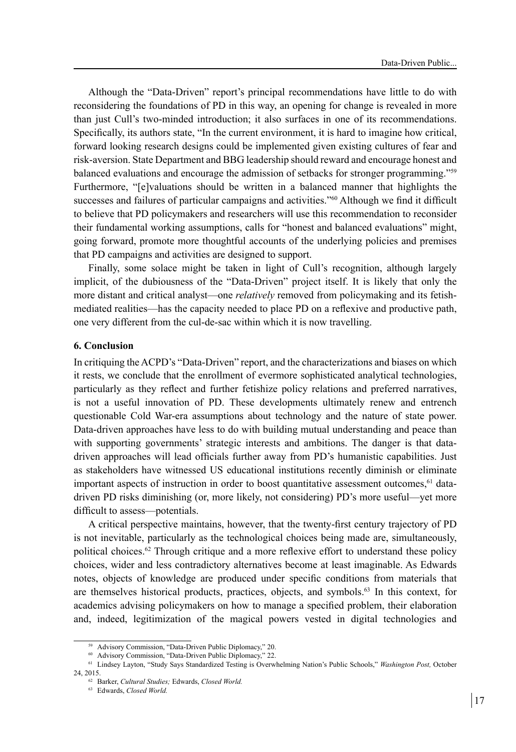Although the "Data-Driven" report's principal recommendations have little to do with reconsidering the foundations of PD in this way, an opening for change is revealed in more than just Cull's two-minded introduction; it also surfaces in one of its recommendations. Specifically, its authors state, "In the current environment, it is hard to imagine how critical, forward looking research designs could be implemented given existing cultures of fear and risk-aversion. State Department and BBG leadership should reward and encourage honest and balanced evaluations and encourage the admission of setbacks for stronger programming."59 Furthermore, "[e]valuations should be written in a balanced manner that highlights the successes and failures of particular campaigns and activities."<sup>60</sup> Although we find it difficult to believe that PD policymakers and researchers will use this recommendation to reconsider their fundamental working assumptions, calls for "honest and balanced evaluations" might, going forward, promote more thoughtful accounts of the underlying policies and premises that PD campaigns and activities are designed to support.

Finally, some solace might be taken in light of Cull's recognition, although largely implicit, of the dubiousness of the "Data-Driven" project itself. It is likely that only the more distant and critical analyst—one *relatively* removed from policymaking and its fetishmediated realities—has the capacity needed to place PD on a reflexive and productive path, one very different from the cul-de-sac within which it is now travelling.

### **6. Conclusion**

In critiquing the ACPD's "Data-Driven" report, and the characterizations and biases on which it rests, we conclude that the enrollment of evermore sophisticated analytical technologies, particularly as they reflect and further fetishize policy relations and preferred narratives, is not a useful innovation of PD. These developments ultimately renew and entrench questionable Cold War-era assumptions about technology and the nature of state power. Data-driven approaches have less to do with building mutual understanding and peace than with supporting governments' strategic interests and ambitions. The danger is that datadriven approaches will lead officials further away from PD's humanistic capabilities. Just as stakeholders have witnessed US educational institutions recently diminish or eliminate important aspects of instruction in order to boost quantitative assessment outcomes, $<sup>61</sup>$  data-</sup> driven PD risks diminishing (or, more likely, not considering) PD's more useful—yet more difficult to assess—potentials.

A critical perspective maintains, however, that the twenty-first century trajectory of PD is not inevitable, particularly as the technological choices being made are, simultaneously, political choices.<sup>62</sup> Through critique and a more reflexive effort to understand these policy choices, wider and less contradictory alternatives become at least imaginable. As Edwards notes, objects of knowledge are produced under specific conditions from materials that are themselves historical products, practices, objects, and symbols.63 In this context, for academics advising policymakers on how to manage a specified problem, their elaboration and, indeed, legitimization of the magical powers vested in digital technologies and

<sup>59</sup> Advisory Commission, "Data-Driven Public Diplomacy," 20.

<sup>60</sup> Advisory Commission, "Data-Driven Public Diplomacy," 22.

<sup>61</sup> Lindsey Layton, "Study Says Standardized Testing is Overwhelming Nation's Public Schools," *Washington Post,* October 24, 2015.

<sup>62</sup> Barker, *Cultural Studies;* Edwards, *Closed World.*

<sup>63</sup> Edwards, *Closed World.*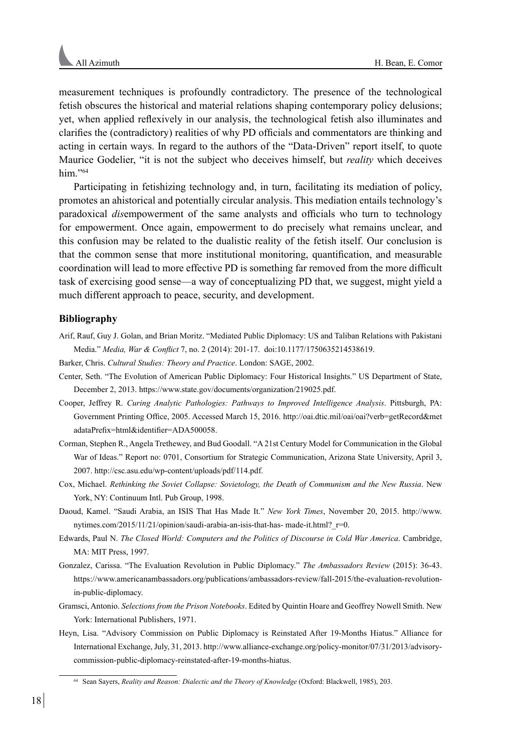measurement techniques is profoundly contradictory. The presence of the technological fetish obscures the historical and material relations shaping contemporary policy delusions; yet, when applied reflexively in our analysis, the technological fetish also illuminates and clarifies the (contradictory) realities of why PD officials and commentators are thinking and acting in certain ways. In regard to the authors of the "Data-Driven" report itself, to quote Maurice Godelier, "it is not the subject who deceives himself, but *reality* which deceives him."64

Participating in fetishizing technology and, in turn, facilitating its mediation of policy, promotes an ahistorical and potentially circular analysis. This mediation entails technology's paradoxical *dis*empowerment of the same analysts and officials who turn to technology for empowerment. Once again, empowerment to do precisely what remains unclear, and this confusion may be related to the dualistic reality of the fetish itself. Our conclusion is that the common sense that more institutional monitoring, quantification, and measurable coordination will lead to more effective PD is something far removed from the more difficult task of exercising good sense—a way of conceptualizing PD that, we suggest, might yield a much different approach to peace, security, and development.

## **Bibliography**

- Arif, Rauf, Guy J. Golan, and Brian Moritz. "Mediated Public Diplomacy: US and Taliban Relations with Pakistani Media." *Media, War & Conflict* 7, no. 2 (2014): 201-17. doi:10.1177/1750635214538619.
- Barker, Chris. *Cultural Studies: Theory and Practice*. London: SAGE, 2002.
- Center, Seth. "The Evolution of American Public Diplomacy: Four Historical Insights." US Department of State, December 2, 2013. https://www.state.gov/documents/organization/219025.pdf.
- Cooper, Jeffrey R. *Curing Analytic Pathologies: Pathways to Improved Intelligence Analysis*. Pittsburgh, PA: Government Printing Office, 2005. Accessed March 15, 2016. http://oai.dtic.mil/oai/oai?verb=getRecord&met adataPrefix=html&identifier=ADA500058.
- Corman, Stephen R., Angela Trethewey, and Bud Goodall. "A 21st Century Model for Communication in the Global War of Ideas." Report no: 0701, Consortium for Strategic Communication, Arizona State University, April 3, 2007. http://csc.asu.edu/wp-content/uploads/pdf/114.pdf.
- Cox, Michael. *Rethinking the Soviet Collapse: Sovietology, the Death of Communism and the New Russia*. New York, NY: Continuum Intl. Pub Group, 1998.
- Daoud, Kamel. "Saudi Arabia, an ISIS That Has Made It." *New York Times*, November 20, 2015. http://www. nytimes.com/2015/11/21/opinion/saudi-arabia-an-isis-that-has- made-it.html? r=0.
- Edwards, Paul N. *The Closed World: Computers and the Politics of Discourse in Cold War America*. Cambridge, MA: MIT Press, 1997.
- Gonzalez, Carissa. "The Evaluation Revolution in Public Diplomacy." *The Ambassadors Review* (2015): 36-43. https://www.americanambassadors.org/publications/ambassadors-review/fall-2015/the-evaluation-revolutionin-public-diplomacy.
- Gramsci, Antonio. *Selections from the Prison Notebooks*. Edited by Quintin Hoare and Geoffrey Nowell Smith. New York: International Publishers, 1971.
- Heyn, Lisa. "Advisory Commission on Public Diplomacy is Reinstated After 19-Months Hiatus." Alliance for International Exchange, July, 31, 2013. http://www.alliance-exchange.org/policy-monitor/07/31/2013/advisorycommission-public-diplomacy-reinstated-after-19-months-hiatus.

<sup>64</sup> Sean Sayers, *Reality and Reason: Dialectic and the Theory of Knowledge* (Oxford: Blackwell, 1985), 203.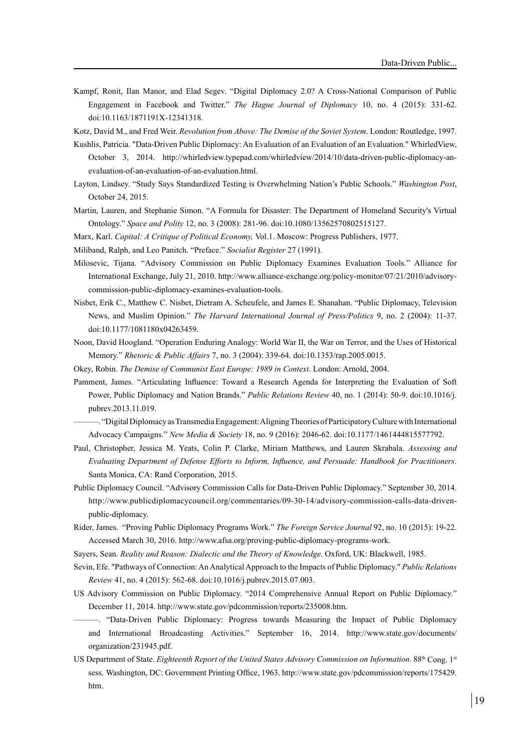Kampf, Ronit, Ilan Manor, and Elad Segev. "Digital Diplomacy 2.0? A Cross-National Comparison of Public Engagement in Facebook and Twitter." *The Hague Journal of Diplomacy* 10, no. 4 (2015): 331-62. doi:10.1163/1871191X-12341318.

Kotz, David M., and Fred Weir. *Revolution from Above: The Demise of the Soviet System*. London: Routledge, 1997.

- Kushlis, Patricia. "Data-Driven Public Diplomacy: An Evaluation of an Evaluation of an Evaluation." WhirledView, October 3, 2014. http://whirledview.typepad.com/whirledview/2014/10/data-driven-public-diplomacy-anevaluation-of-an-evaluation-of-an-evaluation.html.
- Layton, Lindsey. "Study Says Standardized Testing is Overwhelming Nation's Public Schools." *Washington Post*, October 24, 2015.
- Martin, Lauren, and Stephanie Simon. "A Formula for Disaster: The Department of Homeland Security's Virtual Ontology." *Space and Polity* 12, no. 3 (2008): 281-96. doi:10.1080/13562570802515127.
- Marx, Karl. *Capital: A Critique of Political Economy,* Vol.1. Moscow: Progress Publishers, 1977.
- Miliband, Ralph, and Leo Panitch. "Preface." *Socialist Register* 27 (1991).
- Milosevic, Tijana. "Advisory Commission on Public Diplomacy Examines Evaluation Tools." Alliance for International Exchange, July 21, 2010. http://www.alliance-exchange.org/policy-monitor/07/21/2010/advisorycommission-public-diplomacy-examines-evaluation-tools.
- Nisbet, Erik C., Matthew C. Nisbet, Dietram A. Scheufele, and James E. Shanahan. "Public Diplomacy, Television News, and Muslim Opinion." *The Harvard International Journal of Press/Politics* 9, no. 2 (2004): 11-37. doi:10.1177/1081180x04263459.
- Noon, David Hoogland. "Operation Enduring Analogy: World War II, the War on Terror, and the Uses of Historical Memory." *Rhetoric & Public Affairs* 7, no. 3 (2004): 339-64. doi:10.1353/rap.2005.0015.
- Okey, Robin. *The Demise of Communist East Europe: 1989 in Context*. London: Arnold, 2004.
- Pamment, James. "Articulating Influence: Toward a Research Agenda for Interpreting the Evaluation of Soft Power, Public Diplomacy and Nation Brands." *Public Relations Review* 40, no. 1 (2014): 50-9. doi:10.1016/j. pubrev.2013.11.019.
	- ———. "Digital Diplomacy as Transmedia Engagement: Aligning Theories of Participatory Culture with International Advocacy Campaigns." *New Media & Society* 18, no. 9 (2016): 2046-62. doi:10.1177/1461444815577792.
- Paul, Christopher, Jessica M. Yeats, Colin P. Clarke, Miriam Matthews, and Lauren Skrabala. *Assessing and Evaluating Department of Defense Efforts to Inform, Influence, and Persuade: Handbook for Practitioners*. Santa Monica, CA: Rand Corporation, 2015.
- Public Diplomacy Council. "Advisory Commission Calls for Data-Driven Public Diplomacy." September 30, 2014. http://www.publicdiplomacycouncil.org/commentaries/09-30-14/advisory-commission-calls-data-drivenpublic-diplomacy.
- Rider, James. "Proving Public Diplomacy Programs Work." *The Foreign Service Journal* 92, no. 10 (2015): 19-22. Accessed March 30, 2016. http://www.afsa.org/proving-public-diplomacy-programs-work.
- Sayers, Sean. *Reality and Reason: Dialectic and the Theory of Knowledge*. Oxford, UK: Blackwell, 1985.
- Sevin, Efe. "Pathways of Connection: An Analytical Approach to the Impacts of Public Diplomacy." *Public Relations Review* 41, no. 4 (2015): 562-68. doi:10.1016/j.pubrev.2015.07.003.
- US Advisory Commission on Public Diplomacy. "2014 Comprehensive Annual Report on Public Diplomacy." December 11, 2014. http://www.state.gov/pdcommission/reports/235008.htm.
	- "Data-Driven Public Diplomacy: Progress towards Measuring the Impact of Public Diplomacy and International Broadcasting Activities." September 16, 2014. http://www.state.gov/documents/ organization/231945.pdf.
- US Department of State. *Eighteenth Report of the United States Advisory Commission on Information*. 88<sup>th</sup> Cong. 1<sup>st</sup> sess. Washington, DC: Government Printing Office, 1963. http://www.state.gov/pdcommission/reports/175429. htm.